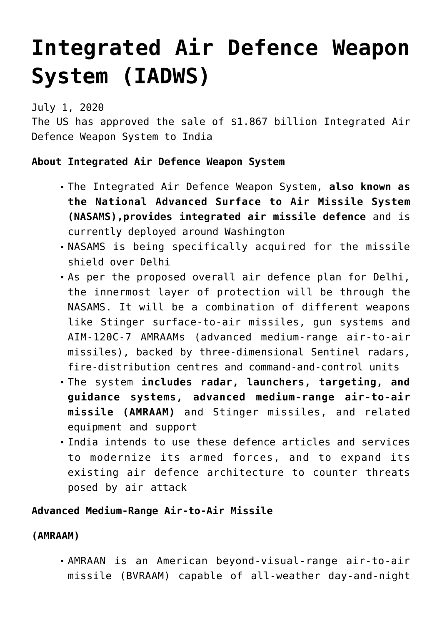## **[Integrated Air Defence Weapon](https://journalsofindia.com/integrated-air-defence-weapon-system-iadws/) [System \(IADWS\)](https://journalsofindia.com/integrated-air-defence-weapon-system-iadws/)**

July 1, 2020

The US has approved the sale of \$1.867 billion Integrated Air Defence Weapon System to India

## **About Integrated Air Defence Weapon System**

- The Integrated Air Defence Weapon System, **also known as the National Advanced Surface to Air Missile System (NASAMS),provides integrated air missile defence** and is currently deployed around Washington
- NASAMS is being specifically acquired for the missile shield over Delhi
- As per the proposed overall air defence plan for Delhi, the innermost layer of protection will be through the NASAMS. It will be a combination of different weapons like Stinger surface-to-air missiles, gun systems and AIM-120C-7 AMRAAMs (advanced medium-range air-to-air missiles), backed by three-dimensional Sentinel radars, fire-distribution centres and command-and-control units
- The system **includes radar, launchers, targeting, and guidance systems, advanced medium-range air-to-air missile (AMRAAM)** and Stinger missiles, and related equipment and support
- India intends to use these defence articles and services to modernize its armed forces, and to expand its existing air defence architecture to counter threats posed by air attack

## **Advanced Medium-Range Air-to-Air Missile**

## **(AMRAAM)**

AMRAAN is an American beyond-visual-range air-to-air missile (BVRAAM) capable of all-weather day-and-night